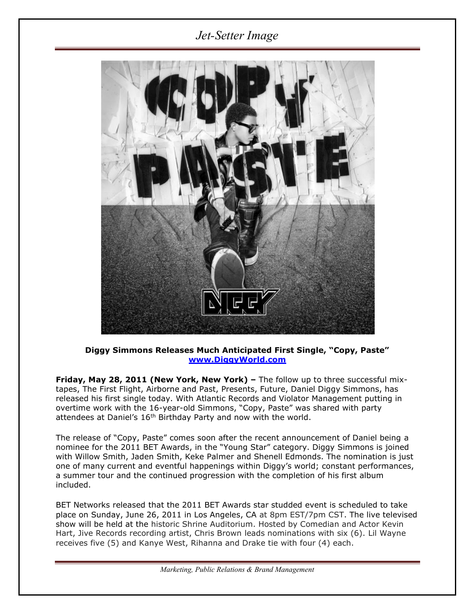## *Jet-Setter Image*



**Diggy Simmons Releases Much Anticipated First Single, "Copy, Paste" [www.DiggyWorld.com](http://www.diggyworld.com/)**

**Friday, May 28, 2011 (New York, New York) –** The follow up to three successful mixtapes, The First Flight, Airborne and Past, Presents, Future, Daniel Diggy Simmons, has released his first single today. With Atlantic Records and Violator Management putting in overtime work with the 16-year-old Simmons, "Copy, Paste" was shared with party attendees at Daniel's 16<sup>th</sup> Birthday Party and now with the world.

The release of "Copy, Paste" comes soon after the recent announcement of Daniel being a nominee for the 2011 BET Awards, in the "Young Star" category. Diggy Simmons is joined with Willow Smith, Jaden Smith, Keke Palmer and Shenell Edmonds. The nomination is just one of many current and eventful happenings within Diggy's world; constant performances, a summer tour and the continued progression with the completion of his first album included.

BET Networks released that the 2011 BET Awards star studded event is scheduled to take place on Sunday, June 26, 2011 in Los Angeles, CA at 8pm EST/7pm CST. The live televised show will be held at the historic Shrine Auditorium. Hosted by Comedian and Actor Kevin Hart, Jive Records recording artist, Chris Brown leads nominations with six (6). Lil Wayne receives five (5) and Kanye West, Rihanna and Drake tie with four (4) each.